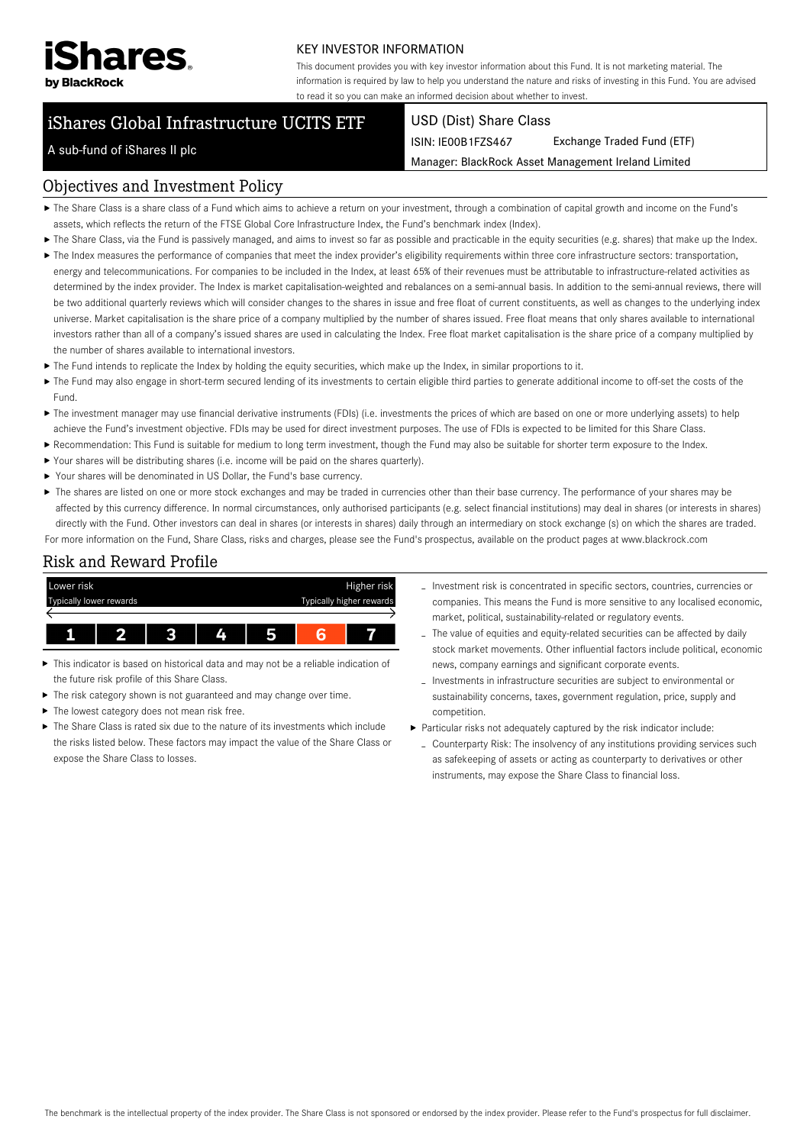

#### KEY INVESTOR INFORMATION

This document provides you with key investor information about this Fund. It is not marketing material. The information is required by law to help you understand the nature and risks of investing in this Fund. You are advised to read it so you can make an informed decision about whether to invest.

# iShares Global Infrastructure UCITS ETF

#### USD (Dist) Share Class

ISIN: IE00B1FZS467 Exchange Traded Fund (ETF)

Manager: BlackRock Asset Management Ireland Limited

### A sub-fund of iShares II plc

#### Objectives and Investment Policy

- The Share Class is a share class of a Fund which aims to achieve a return on your investment, through a combination of capital growth and income on the Fund's assets, which reflects the return of the FTSE Global Core Infrastructure Index, the Fund's benchmark index (Index).
- ▶ The Share Class, via the Fund is passively managed, and aims to invest so far as possible and practicable in the equity securities (e.g. shares) that make up the Index.
- ▶ The Index measures the performance of companies that meet the index provider's eligibility requirements within three core infrastructure sectors: transportation, energy and telecommunications. For companies to be included in the Index, at least 65% of their revenues must be attributable to infrastructure-related activities as determined by the index provider. The Index is market capitalisation-weighted and rebalances on a semi-annual basis. In addition to the semi-annual reviews, there will be two additional quarterly reviews which will consider changes to the shares in issue and free float of current constituents, as well as changes to the underlying index universe. Market capitalisation is the share price of a company multiplied by the number of shares issued. Free float means that only shares available to international investors rather than all of a company's issued shares are used in calculating the Index. Free float market capitalisation is the share price of a company multiplied by the number of shares available to international investors.
- ▶ The Fund intends to replicate the Index by holding the equity securities, which make up the Index, in similar proportions to it.
- ▶ The Fund may also engage in short-term secured lending of its investments to certain eligible third parties to generate additional income to off-set the costs of the Fund.
- ▶ The investment manager may use financial derivative instruments (FDIs) (i.e. investments the prices of which are based on one or more underlying assets) to help achieve the Fund's investment objective. FDIs may be used for direct investment purposes. The use of FDIs is expected to be limited for this Share Class.
- Recommendation: This Fund is suitable for medium to long term investment, though the Fund may also be suitable for shorter term exposure to the Index.
- Your shares will be distributing shares (i.e. income will be paid on the shares quarterly).
- Your shares will be denominated in US Dollar, the Fund's base currency.
- ▶ The shares are listed on one or more stock exchanges and may be traded in currencies other than their base currency. The performance of your shares may be affected by this currency difference. In normal circumstances, only authorised participants (e.g. select financial institutions) may deal in shares (or interests in shares) directly with the Fund. Other investors can deal in shares (or interests in shares) daily through an intermediary on stock exchange (s) on which the shares are traded. For more information on the Fund, Share Class, risks and charges, please see the Fund's prospectus, available on the product pages at www.blackrock.com

### Risk and Reward Profile



- This indicator is based on historical data and may not be a reliable indication of Ы the future risk profile of this Share Class.
- The risk category shown is not guaranteed and may change over time.
- The lowest category does not mean risk free. ь
- $\triangleright$  The Share Class is rated six due to the nature of its investments which include the risks listed below. These factors may impact the value of the Share Class or expose the Share Class to losses.
- Investment risk is concentrated in specific sectors, countries, currencies or companies. This means the Fund is more sensitive to any localised economic, market, political, sustainability-related or regulatory events.
- The value of equities and equity-related securities can be affected by daily stock market movements. Other influential factors include political, economic news, company earnings and significant corporate events.
- Investments in infrastructure securities are subject to environmental or sustainability concerns, taxes, government regulation, price, supply and competition.
- Particular risks not adequately captured by the risk indicator include:
- Counterparty Risk: The insolvency of any institutions providing services such as safekeeping of assets or acting as counterparty to derivatives or other instruments, may expose the Share Class to financial loss.